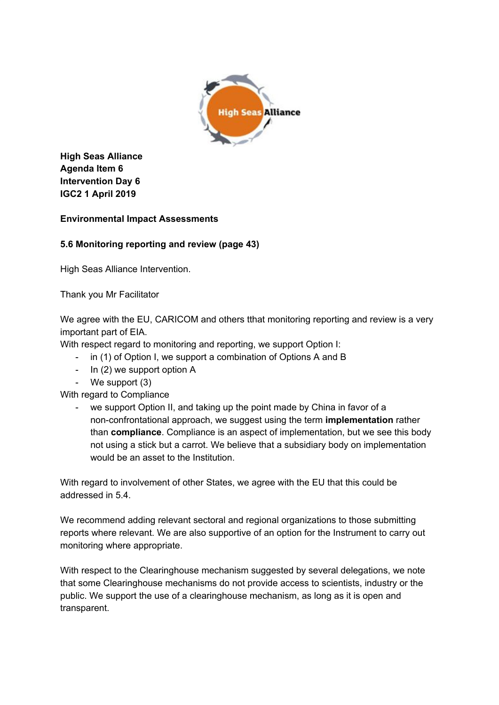

**High Seas Alliance Agenda Item 6 Intervention Day 6 IGC2 1 April 2019**

## **Environmental Impact Assessments**

## **5.6 Monitoring reporting and review (page 43)**

High Seas Alliance Intervention.

Thank you Mr Facilitator

We agree with the EU, CARICOM and others tthat monitoring reporting and review is a very important part of EIA.

With respect regard to monitoring and reporting, we support Option I:

- in (1) of Option I, we support a combination of Options A and B
- In (2) we support option A
- We support (3)

With regard to Compliance

we support Option II, and taking up the point made by China in favor of a non-confrontational approach, we suggest using the term **implementation** rather than **compliance**. Compliance is an aspect of implementation, but we see this body not using a stick but a carrot. We believe that a subsidiary body on implementation would be an asset to the Institution.

With regard to involvement of other States, we agree with the EU that this could be addressed in 5.4.

We recommend adding relevant sectoral and regional organizations to those submitting reports where relevant. We are also supportive of an option for the Instrument to carry out monitoring where appropriate.

With respect to the Clearinghouse mechanism suggested by several delegations, we note that some Clearinghouse mechanisms do not provide access to scientists, industry or the public. We support the use of a clearinghouse mechanism, as long as it is open and transparent.